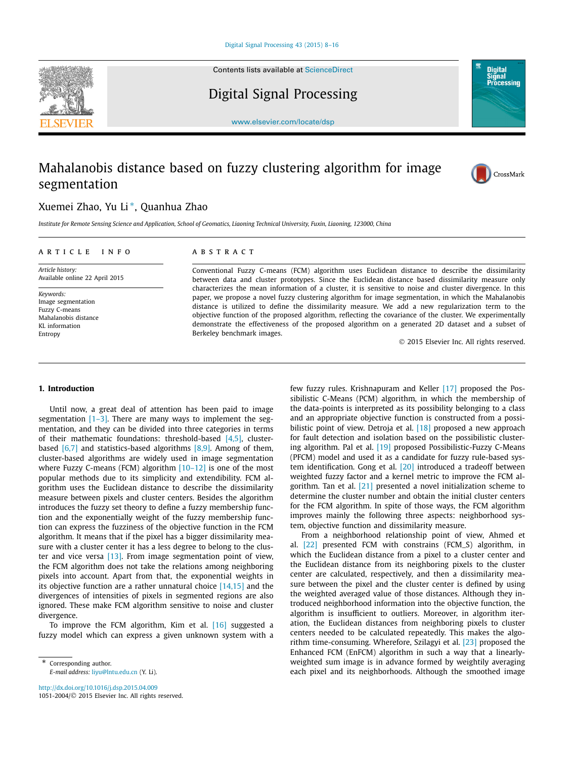Contents lists available at [ScienceDirect](http://www.ScienceDirect.com/)



Digital Signal Processing



[www.elsevier.com/locate/dsp](http://www.elsevier.com/locate/dsp)

## Mahalanobis distance based on fuzzy clustering algorithm for image segmentation

Berkeley benchmark images.



### Xuemei Zhao, Yu Li <sup>∗</sup>, Quanhua Zhao

Institute for Remote Sensing Science and Application, School of Geomatics, Liaoning Technical University, Fuxin, Liaoning, 123000, China

| ARTICLE INFO                                       | A B S T R A C T                                                                                                                                                                                                                                                                                                                                                                                                                                                                                                                   |
|----------------------------------------------------|-----------------------------------------------------------------------------------------------------------------------------------------------------------------------------------------------------------------------------------------------------------------------------------------------------------------------------------------------------------------------------------------------------------------------------------------------------------------------------------------------------------------------------------|
| Article history:<br>Available online 22 April 2015 | Conventional Fuzzy C-means (FCM) algorithm uses Euclidean distance to describe the dissimilarity<br>between data and cluster prototypes. Since the Euclidean distance based dissimilarity measure only<br>characterizes the mean information of a cluster, it is sensitive to noise and cluster divergence. In this<br>paper, we propose a novel fuzzy clustering algorithm for image segmentation, in which the Mahalanobis<br>distance is utilized to define the dissimilarity measure. We add a new regularization term to the |
| Keywords:<br>Image segmentation<br>Fuzzy C-means   |                                                                                                                                                                                                                                                                                                                                                                                                                                                                                                                                   |

© 2015 Elsevier Inc. All rights reserved.

#### **1. Introduction**

Mahalanobis distance KL information Entropy

Until now, a great deal of attention has been paid to image segmentation  $[1-3]$ . There are many ways to implement the segmentation, and they can be divided into three categories in terms of their mathematic foundations: threshold-based [\[4,5\],](#page--1-0) clusterbased [\[6,7\]](#page--1-0) and statistics-based algorithms [\[8,9\].](#page--1-0) Among of them, cluster-based algorithms are widely used in image segmentation where Fuzzy C-means (FCM) algorithm [\[10–12\]](#page--1-0) is one of the most popular methods due to its simplicity and extendibility. FCM algorithm uses the Euclidean distance to describe the dissimilarity measure between pixels and cluster centers. Besides the algorithm introduces the fuzzy set theory to define a fuzzy membership function and the exponentially weight of the fuzzy membership function can express the fuzziness of the objective function in the FCM algorithm. It means that if the pixel has a bigger dissimilarity measure with a cluster center it has a less degree to belong to the cluster and vice versa [\[13\].](#page--1-0) From image segmentation point of view, the FCM algorithm does not take the relations among neighboring pixels into account. Apart from that, the exponential weights in its objective function are a rather unnatural choice [\[14,15\]](#page--1-0) and the divergences of intensities of pixels in segmented regions are also ignored. These make FCM algorithm sensitive to noise and cluster divergence.

To improve the FCM algorithm, Kim et al. [\[16\]](#page--1-0) suggested a fuzzy model which can express a given unknown system with a

\* Corresponding author. *E-mail address:* [liyu@lntu.edu.cn](mailto:liyu@lntu.edu.cn) (Y. Li).

<http://dx.doi.org/10.1016/j.dsp.2015.04.009> 1051-2004/© 2015 Elsevier Inc. All rights reserved. few fuzzy rules. Krishnapuram and Keller [\[17\]](#page--1-0) proposed the Possibilistic C-Means (PCM) algorithm, in which the membership of the data-points is interpreted as its possibility belonging to a class and an appropriate objective function is constructed from a possi-bilistic point of view. Detroja et al. <a>[\[18\]](#page--1-0)</a> proposed a new approach for fault detection and isolation based on the possibilistic clustering algorithm. Pal et al. [\[19\]](#page--1-0) proposed Possibilistic-Fuzzy C-Means (PFCM) model and used it as a candidate for fuzzy rule-based system identification. Gong et al. [\[20\]](#page--1-0) introduced a tradeoff between weighted fuzzy factor and a kernel metric to improve the FCM algorithm. Tan et al. [\[21\]](#page--1-0) presented a novel initialization scheme to determine the cluster number and obtain the initial cluster centers for the FCM algorithm. In spite of those ways, the FCM algorithm improves mainly the following three aspects: neighborhood system, objective function and dissimilarity measure.

objective function of the proposed algorithm, reflecting the covariance of the cluster. We experimentally demonstrate the effectiveness of the proposed algorithm on a generated 2D dataset and a subset of

> From a neighborhood relationship point of view, Ahmed et al. [\[22\]](#page--1-0) presented FCM with constrains (FCM\_S) algorithm, in which the Euclidean distance from a pixel to a cluster center and the Euclidean distance from its neighboring pixels to the cluster center are calculated, respectively, and then a dissimilarity measure between the pixel and the cluster center is defined by using the weighted averaged value of those distances. Although they introduced neighborhood information into the objective function, the algorithm is insufficient to outliers. Moreover, in algorithm iteration, the Euclidean distances from neighboring pixels to cluster centers needed to be calculated repeatedly. This makes the algorithm time-consuming. Wherefore, Szilagyi et al. [\[23\]](#page--1-0) proposed the Enhanced FCM (EnFCM) algorithm in such a way that a linearlyweighted sum image is in advance formed by weightily averaging each pixel and its neighborhoods. Although the smoothed image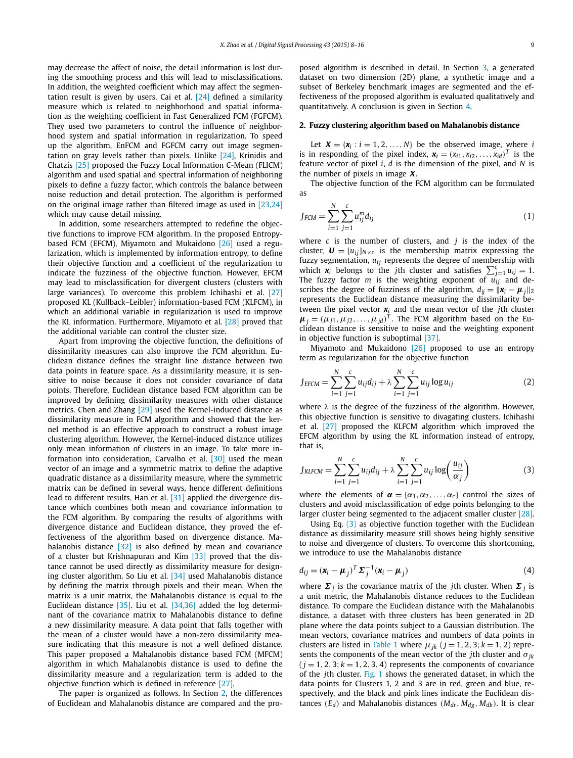may decrease the affect of noise, the detail information is lost during the smoothing process and this will lead to misclassifications. In addition, the weighted coefficient which may affect the segmentation result is given by users. Cai et al. [\[24\]](#page--1-0) defined a similarity measure which is related to neighborhood and spatial information as the weighting coefficient in Fast Generalized FCM (FGFCM). They used two parameters to control the influence of neighborhood system and spatial information in regularization. To speed up the algorithm, EnFCM and FGFCM carry out image segmentation on gray levels rather than pixels. Unlike [\[24\],](#page--1-0) Krinidis and Chatzis [\[25\]](#page--1-0) proposed the Fuzzy Local Information C-Mean (FLICM) algorithm and used spatial and spectral information of neighboring pixels to define a fuzzy factor, which controls the balance between noise reduction and detail protection. The algorithm is performed on the original image rather than filtered image as used in [\[23,24\]](#page--1-0) which may cause detail missing.

In addition, some researchers attempted to redefine the objective functions to improve FCM algorithm. In the proposed Entropybased FCM (EFCM), Miyamoto and Mukaidono [\[26\]](#page--1-0) used a regularization, which is implemented by information entropy, to define their objective function and a coefficient of the regularization to indicate the fuzziness of the objective function. However, EFCM may lead to misclassification for divergent clusters (clusters with large variances). To overcome this problem Ichihashi et al. [\[27\]](#page--1-0) proposed KL (Kullback–Leibler) information-based FCM (KLFCM), in which an additional variable in regularization is used to improve the KL information. Furthermore, Miyamoto et al. [\[28\]](#page--1-0) proved that the additional variable can control the cluster size.

Apart from improving the objective function, the definitions of dissimilarity measures can also improve the FCM algorithm. Euclidean distance defines the straight line distance between two data points in feature space. As a dissimilarity measure, it is sensitive to noise because it does not consider covariance of data points. Therefore, Euclidean distance based FCM algorithm can be improved by defining dissimilarity measures with other distance metrics. Chen and Zhang [\[29\]](#page--1-0) used the Kernel-induced distance as dissimilarity measure in FCM algorithm and showed that the kernel method is an effective approach to construct a robust image clustering algorithm. However, the Kernel-induced distance utilizes only mean information of clusters in an image. To take more information into consideration, Carvalho et al. [\[30\]](#page--1-0) used the mean vector of an image and a symmetric matrix to define the adaptive quadratic distance as a dissimilarity measure, where the symmetric matrix can be defined in several ways, hence different definitions lead to different results. Han et al. [\[31\]](#page--1-0) applied the divergence distance which combines both mean and covariance information to the FCM algorithm. By comparing the results of algorithms with divergence distance and Euclidean distance, they proved the effectiveness of the algorithm based on divergence distance. Ma-halanobis distance [\[32\]](#page--1-0) is also defined by mean and covariance of a cluster but Krishnapuran and Kim [\[33\]](#page--1-0) proved that the distance cannot be used directly as dissimilarity measure for designing cluster algorithm. So Liu et al. [\[34\]](#page--1-0) used Mahalanobis distance by defining the matrix through pixels and their mean. When the matrix is a unit matrix, the Mahalanobis distance is equal to the Euclidean distance [\[35\].](#page--1-0) Liu et al. [\[34,36\]](#page--1-0) added the log determinant of the covariance matrix to Mahalanobis distance to define a new dissimilarity measure. A data point that falls together with the mean of a cluster would have a non-zero dissimilarity measure indicating that this measure is not a well defined distance. This paper proposed a Mahalanobis distance based FCM (MFCM) algorithm in which Mahalanobis distance is used to define the dissimilarity measure and a regularization term is added to the objective function which is defined in reference [\[27\].](#page--1-0)

The paper is organized as follows. In Section 2, the differences of Euclidean and Mahalanobis distance are compared and the proposed algorithm is described in detail. In Section [3,](#page--1-0) a generated dataset on two dimension (2D) plane, a synthetic image and a subset of Berkeley benchmark images are segmented and the effectiveness of the proposed algorithm is evaluated qualitatively and quantitatively. A conclusion is given in Section [4.](#page--1-0)

#### **2. Fuzzy clustering algorithm based on Mahalanobis distance**

Let  $X = \{x_i : i = 1, 2, ..., N\}$  be the observed image, where *i* is in responding of the pixel index,  $\mathbf{x}_i = (x_{i1}, x_{i2}, \dots, x_{id})^T$  is the feature vector of pixel *i*, *d* is the dimension of the pixel, and *N* is the number of pixels in image *X*.

The objective function of the FCM algorithm can be formulated as

$$
J_{FCM} = \sum_{i=1}^{N} \sum_{j=1}^{c} u_{ij}^{m} d_{ij}
$$
 (1)

where *c* is the number of clusters, and *j* is the index of the cluster,  $\mathbf{U} = [u_{ij}]_{N \times c}$  is the membership matrix expressing the fuzzy segmentation, *uij* represents the degree of membership with which  $\mathbf{x}_i$  belongs to the *j*th cluster and satisfies  $\sum_{j=1}^{c} u_{ij} = 1$ . The fuzzy factor *m* is the weighting exponent of *uij* and describes the degree of fuzziness of the algorithm,  $d_{ij} = ||\mathbf{x}_i - \mathbf{\mu}_j||_2$ represents the Euclidean distance measuring the dissimilarity between the pixel vector *x<sup>i</sup>* and the mean vector of the *j*th cluster  $\boldsymbol{\mu}_j = (\mu_{j1}, \mu_{j2}, \dots, \mu_{jd})^T$ . The FCM algorithm based on the Euclidean distance is sensitive to noise and the weighting exponent in objective function is suboptimal [\[37\].](#page--1-0)

Miyamoto and Mukaidono [\[26\]](#page--1-0) proposed to use an entropy term as regularization for the objective function

$$
J_{EFCM} = \sum_{i=1}^{N} \sum_{j=1}^{c} u_{ij} d_{ij} + \lambda \sum_{i=1}^{N} \sum_{j=1}^{c} u_{ij} \log u_{ij}
$$
(2)

where *λ* is the degree of the fuzziness of the algorithm. However, this objective function is sensitive to divagating clusters. Ichihashi et al. [\[27\]](#page--1-0) proposed the KLFCM algorithm which improved the EFCM algorithm by using the KL information instead of entropy, that is,

$$
J_{KLFCM} = \sum_{i=1}^{N} \sum_{j=1}^{c} u_{ij} d_{ij} + \lambda \sum_{i=1}^{N} \sum_{j=1}^{c} u_{ij} \log \left( \frac{u_{ij}}{\alpha_j} \right)
$$
(3)

where the elements of  $\alpha = {\alpha_1, \alpha_2, ..., \alpha_c}$  control the sizes of clusters and avoid misclassification of edge points belonging to the larger cluster being segmented to the adjacent smaller cluster [\[28\].](#page--1-0)

Using Eq. (3) as objective function together with the Euclidean distance as dissimilarity measure still shows being highly sensitive to noise and divergence of clusters. To overcome this shortcoming, we introduce to use the Mahalanobis distance

$$
d_{ij} = (\mathbf{x}_i - \boldsymbol{\mu}_j)^T \boldsymbol{\Sigma}_j^{-1} (\mathbf{x}_i - \boldsymbol{\mu}_j)
$$
(4)

where  $\Sigma_i$  is the covariance matrix of the *j*th cluster. When  $\Sigma_i$  is a unit metric, the Mahalanobis distance reduces to the Euclidean distance. To compare the Euclidean distance with the Mahalanobis distance, a dataset with three clusters has been generated in 2D plane where the data points subject to a Gaussian distribution. The mean vectors, covariance matrices and numbers of data points in clusters are listed in [Table 1](#page--1-0) where  $\mu_{jk}$  ( $j = 1, 2, 3; k = 1, 2$ ) represents the components of the mean vector of the *j*th cluster and *σjk*  $(j = 1, 2, 3; k = 1, 2, 3, 4)$  represents the components of covariance of the *j*th cluster. [Fig. 1](#page--1-0) shows the generated dataset, in which the data points for Clusters 1, 2 and 3 are in red, green and blue, respectively, and the black and pink lines indicate the Euclidean distances  $(E_d)$  and Mahalanobis distances  $(M_{dr}, M_{dg}, M_{db})$ . It is clear